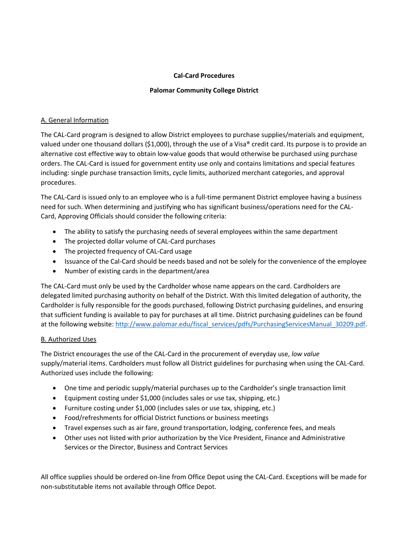# **Cal-Card Procedures**

# **Palomar Community College District**

# A. General Information

The CAL-Card program is designed to allow District employees to purchase supplies/materials and equipment, valued under one thousand dollars (\$1,000), through the use of a Visa® credit card. Its purpose is to provide an alternative cost effective way to obtain low-value goods that would otherwise be purchased using purchase orders. The CAL-Card is issued for government entity use only and contains limitations and special features including: single purchase transaction limits, cycle limits, authorized merchant categories, and approval procedures.

The CAL-Card is issued only to an employee who is a full-time permanent District employee having a business need for such. When determining and justifying who has significant business/operations need for the CAL-Card, Approving Officials should consider the following criteria:

- The ability to satisfy the purchasing needs of several employees within the same department
- The projected dollar volume of CAL-Card purchases
- The projected frequency of CAL-Card usage
- Issuance of the Cal-Card should be needs based and not be solely for the convenience of the employee
- Number of existing cards in the department/area

The CAL-Card must only be used by the Cardholder whose name appears on the card. Cardholders are delegated limited purchasing authority on behalf of the District. With this limited delegation of authority, the Cardholder is fully responsible for the goods purchased, following District purchasing guidelines, and ensuring that sufficient funding is available to pay for purchases at all time. District purchasing guidelines can be found at the following website: [http://www.palomar.edu/fiscal\\_services/pdfs/PurchasingServicesManual\\_30209.pdf.](http://www.palomar.edu/fiscal_services/pdfs/PurchasingServicesManual_30209.pdf)

# B. Authorized Uses

The District encourages the use of the CAL-Card in the procurement of everyday use, *low value*  supply/material items. Cardholders must follow all District guidelines for purchasing when using the CAL-Card. Authorized uses include the following:

- One time and periodic supply/material purchases up to the Cardholder's single transaction limit
- Equipment costing under \$1,000 (includes sales or use tax, shipping, etc.)
- Furniture costing under \$1,000 (includes sales or use tax, shipping, etc.)
- Food/refreshments for official District functions or business meetings
- Travel expenses such as air fare, ground transportation, lodging, conference fees, and meals
- Other uses not listed with prior authorization by the Vice President, Finance and Administrative Services or the Director, Business and Contract Services

All office supplies should be ordered on-line from Office Depot using the CAL-Card. Exceptions will be made for non-substitutable items not available through Office Depot.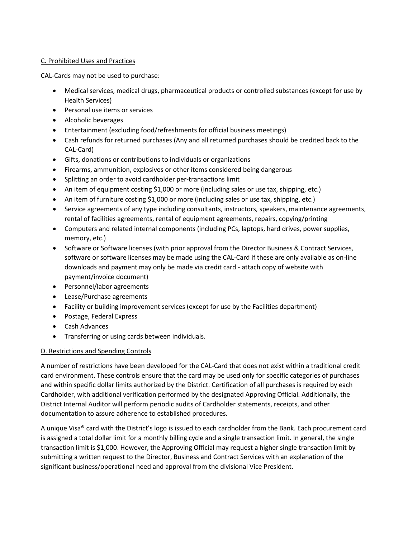# C. Prohibited Uses and Practices

CAL-Cards may not be used to purchase:

- Medical services, medical drugs, pharmaceutical products or controlled substances (except for use by Health Services)
- Personal use items or services
- Alcoholic beverages
- Entertainment (excluding food/refreshments for official business meetings)
- Cash refunds for returned purchases (Any and all returned purchases should be credited back to the CAL-Card)
- Gifts, donations or contributions to individuals or organizations
- Firearms, ammunition, explosives or other items considered being dangerous
- Splitting an order to avoid cardholder per-transactions limit
- An item of equipment costing \$1,000 or more (including sales or use tax, shipping, etc.)
- An item of furniture costing \$1,000 or more (including sales or use tax, shipping, etc.)
- Service agreements of any type including consultants, instructors, speakers, maintenance agreements, rental of facilities agreements, rental of equipment agreements, repairs, copying/printing
- Computers and related internal components (including PCs, laptops, hard drives, power supplies, memory, etc.)
- Software or Software licenses (with prior approval from the Director Business & Contract Services, software or software licenses may be made using the CAL-Card if these are only available as on-line downloads and payment may only be made via credit card - attach copy of website with payment/invoice document)
- Personnel/labor agreements
- Lease/Purchase agreements
- Facility or building improvement services (except for use by the Facilities department)
- Postage, Federal Express
- Cash Advances
- Transferring or using cards between individuals.

# D. Restrictions and Spending Controls

A number of restrictions have been developed for the CAL-Card that does not exist within a traditional credit card environment. These controls ensure that the card may be used only for specific categories of purchases and within specific dollar limits authorized by the District. Certification of all purchases is required by each Cardholder, with additional verification performed by the designated Approving Official. Additionally, the District Internal Auditor will perform periodic audits of Cardholder statements, receipts, and other documentation to assure adherence to established procedures.

A unique Visa® card with the District's logo is issued to each cardholder from the Bank. Each procurement card is assigned a total dollar limit for a monthly billing cycle and a single transaction limit. In general, the single transaction limit is \$1,000. However, the Approving Official may request a higher single transaction limit by submitting a written request to the Director, Business and Contract Services with an explanation of the significant business/operational need and approval from the divisional Vice President.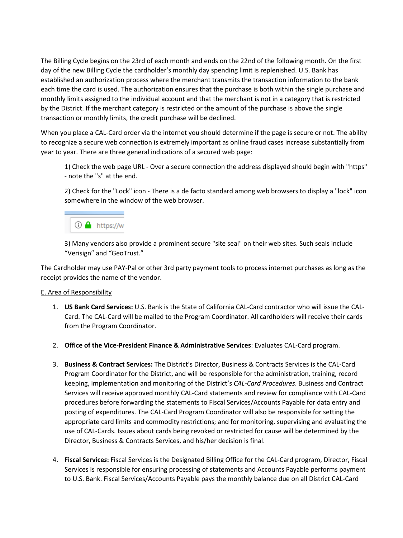The Billing Cycle begins on the 23rd of each month and ends on the 22nd of the following month. On the first day of the new Billing Cycle the cardholder's monthly day spending limit is replenished. U.S. Bank has established an authorization process where the merchant transmits the transaction information to the bank each time the card is used. The authorization ensures that the purchase is both within the single purchase and monthly limits assigned to the individual account and that the merchant is not in a category that is restricted by the District. If the merchant category is restricted or the amount of the purchase is above the single transaction or monthly limits, the credit purchase will be declined.

When you place a CAL-Card order via the internet you should determine if the page is secure or not. The ability to recognize a secure web connection is extremely important as online fraud cases increase substantially from year to year. There are three general indications of a secured web page:

1) Check the web page URL - Over a secure connection the address displayed should begin with "https" - note the "s" at the end.

2) Check for the "Lock" icon - There is a de facto standard among web browsers to display a "lock" icon somewhere in the window of the web browser.

# $\odot$  A https://w

3) Many vendors also provide a prominent secure "site seal" on their web sites. Such seals include "Verisign" and "GeoTrust."

The Cardholder may use PAY-Pal or other 3rd party payment tools to process internet purchases as long as the receipt provides the name of the vendor.

# E. Area of Responsibility

- 1. **US Bank Card Services:** U.S. Bank is the State of California CAL-Card contractor who will issue the CAL-Card. The CAL-Card will be mailed to the Program Coordinator. All cardholders will receive their cards from the Program Coordinator.
- 2. **Office of the Vice-President Finance & Administrative Services**: Evaluates CAL-Card program.
- 3. **Business & Contract Services:** The District's Director, Business & Contracts Services is the CAL-Card Program Coordinator for the District, and will be responsible for the administration, training, record keeping, implementation and monitoring of the District's *CAL-Card Procedures*. Business and Contract Services will receive approved monthly CAL-Card statements and review for compliance with CAL-Card procedures before forwarding the statements to Fiscal Services/Accounts Payable for data entry and posting of expenditures. The CAL-Card Program Coordinator will also be responsible for setting the appropriate card limits and commodity restrictions; and for monitoring, supervising and evaluating the use of CAL-Cards. Issues about cards being revoked or restricted for cause will be determined by the Director, Business & Contracts Services, and his/her decision is final.
- 4. **Fiscal Service***s***:** Fiscal Services is the Designated Billing Office for the CAL-Card program, Director, Fiscal Services is responsible for ensuring processing of statements and Accounts Payable performs payment to U.S. Bank. Fiscal Services/Accounts Payable pays the monthly balance due on all District CAL-Card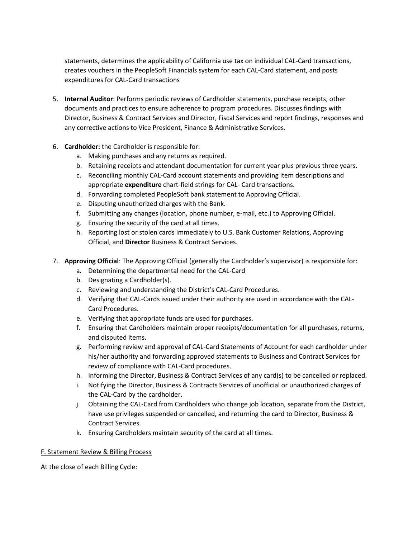statements, determines the applicability of California use tax on individual CAL-Card transactions, creates vouchers in the PeopleSoft Financials system for each CAL-Card statement, and posts expenditures for CAL-Card transactions

- 5. **Internal Auditor**: Performs periodic reviews of Cardholder statements, purchase receipts, other documents and practices to ensure adherence to program procedures. Discusses findings with Director, Business & Contract Services and Director, Fiscal Services and report findings, responses and any corrective actions to Vice President, Finance & Administrative Services.
- 6. **Cardholder:** the Cardholder is responsible for:
	- a. Making purchases and any returns as required.
	- b. Retaining receipts and attendant documentation for current year plus previous three years.
	- c. Reconciling monthly CAL-Card account statements and providing item descriptions and appropriate **expenditure** chart-field strings for CAL- Card transactions.
	- d. Forwarding completed PeopleSoft bank statement to Approving Official.
	- e. Disputing unauthorized charges with the Bank.
	- f. Submitting any changes (location, phone number, e-mail, etc.) to Approving Official.
	- g. Ensuring the security of the card at all times.
	- h. Reporting lost or stolen cards immediately to U.S. Bank Customer Relations, Approving Official, and **Director** Business & Contract Services.
- 7. **Approving Official**: The Approving Official (generally the Cardholder's supervisor) is responsible for:
	- a. Determining the departmental need for the CAL-Card
	- b. Designating a Cardholder(s).
	- c. Reviewing and understanding the District's CAL-Card Procedures.
	- d. Verifying that CAL-Cards issued under their authority are used in accordance with the CAL-Card Procedures.
	- e. Verifying that appropriate funds are used for purchases.
	- f. Ensuring that Cardholders maintain proper receipts/documentation for all purchases, returns, and disputed items.
	- g. Performing review and approval of CAL-Card Statements of Account for each cardholder under his/her authority and forwarding approved statements to Business and Contract Services for review of compliance with CAL-Card procedures.
	- h. Informing the Director, Business & Contract Services of any card(s) to be cancelled or replaced.
	- i. Notifying the Director, Business & Contracts Services of unofficial or unauthorized charges of the CAL-Card by the cardholder.
	- j. Obtaining the CAL-Card from Cardholders who change job location, separate from the District, have use privileges suspended or cancelled, and returning the card to Director, Business & Contract Services.
	- k. Ensuring Cardholders maintain security of the card at all times.

#### F. Statement Review & Billing Process

At the close of each Billing Cycle: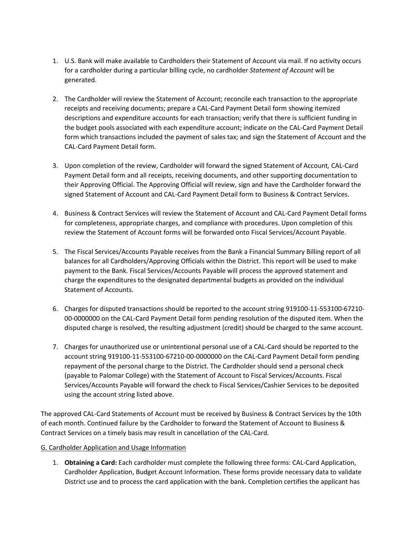- 1. U.S. Bank will make available to Cardholders their Statement of Account via mail. If no activity occurs for a cardholder during a particular billing cycle, no cardholder *Statement of Account* will be generated.
- 2. The Cardholder will review the Statement of Account; reconcile each transaction to the appropriate receipts and receiving documents; prepare a CAL-Card Payment Detail form showing itemized descriptions and expenditure accounts for each transaction; verify that there is sufficient funding in the budget pools associated with each expenditure account; indicate on the CAL-Card Payment Detail form which transactions included the payment of sales tax; and sign the Statement of Account and the CAL-Card Payment Detail form*.*
- 3. Upon completion of the review, Cardholder will forward the signed Statement of Account*,* CAL-Card Payment Detail form and all receipts, receiving documents, and other supporting documentation to their Approving Official. The Approving Official will review, sign and have the Cardholder forward the signed Statement of Account and CAL-Card Payment Detail form to Business & Contract Services.
- 4. Business & Contract Services will review the Statement of Account and CAL-Card Payment Detail forms for completeness, appropriate charges, and compliance with procedures. Upon completion of this review the Statement of Account forms will be forwarded onto Fiscal Services/Account Payable.
- 5. The Fiscal Services/Accounts Payable receives from the Bank a Financial Summary Billing report of all balances for all Cardholders/Approving Officials within the District. This report will be used to make payment to the Bank. Fiscal Services/Accounts Payable will process the approved statement and charge the expenditures to the designated departmental budgets as provided on the individual Statement of Accounts.
- 6. Charges for disputed transactions should be reported to the account string 919100-11-553100-67210- 00-0000000 on the CAL-Card Payment Detail form pending resolution of the disputed item. When the disputed charge is resolved, the resulting adjustment (credit) should be charged to the same account.
- 7. Charges for unauthorized use or unintentional personal use of a CAL-Card should be reported to the account string 919100-11-553100-67210-00-0000000 on the CAL-Card Payment Detail form pending repayment of the personal charge to the District. The Cardholder should send a personal check (payable to Palomar College) with the Statement of Account to Fiscal Services/Accounts. Fiscal Services/Accounts Payable will forward the check to Fiscal Services/Cashier Services to be deposited using the account string listed above.

The approved CAL-Card Statements of Account must be received by Business & Contract Services by the 10th of each month. Continued failure by the Cardholder to forward the Statement of Account to Business & Contract Services on a timely basis may result in cancellation of the CAL-Card.

# G. Cardholder Application and Usage Information

1. **Obtaining a Card:** Each cardholder must complete the following three forms: CAL-Card Application, Cardholder Application, Budget Account Information. These forms provide necessary data to validate District use and to process the card application with the bank. Completion certifies the applicant has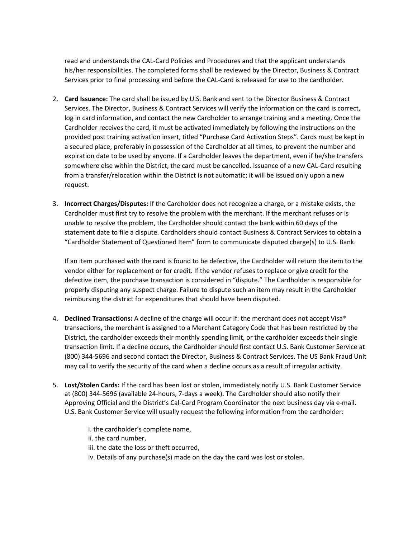read and understands the CAL-Card Policies and Procedures and that the applicant understands his/her responsibilities. The completed forms shall be reviewed by the Director, Business & Contract Services prior to final processing and before the CAL-Card is released for use to the cardholder.

- 2. **Card Issuance:** The card shall be issued by U.S. Bank and sent to the Director Business & Contract Services. The Director, Business & Contract Services will verify the information on the card is correct, log in card information, and contact the new Cardholder to arrange training and a meeting. Once the Cardholder receives the card, it must be activated immediately by following the instructions on the provided post training activation insert, titled "Purchase Card Activation Steps". Cards must be kept in a secured place, preferably in possession of the Cardholder at all times, to prevent the number and expiration date to be used by anyone. If a Cardholder leaves the department, even if he/she transfers somewhere else within the District, the card must be cancelled. Issuance of a new CAL-Card resulting from a transfer/relocation within the District is not automatic; it will be issued only upon a new request.
- 3. **Incorrect Charges/Disputes:** If the Cardholder does not recognize a charge, or a mistake exists, the Cardholder must first try to resolve the problem with the merchant. If the merchant refuses or is unable to resolve the problem, the Cardholder should contact the bank within 60 days of the statement date to file a dispute. Cardholders should contact Business & Contract Services to obtain a "Cardholder Statement of Questioned Item" form to communicate disputed charge(s) to U.S. Bank.

If an item purchased with the card is found to be defective, the Cardholder will return the item to the vendor either for replacement or for credit. If the vendor refuses to replace or give credit for the defective item, the purchase transaction is considered in "dispute." The Cardholder is responsible for properly disputing any suspect charge. Failure to dispute such an item may result in the Cardholder reimbursing the district for expenditures that should have been disputed.

- 4. **Declined Transactions:** A decline of the charge will occur if: the merchant does not accept Visa® transactions, the merchant is assigned to a Merchant Category Code that has been restricted by the District, the cardholder exceeds their monthly spending limit, or the cardholder exceeds their single transaction limit. If a decline occurs, the Cardholder should first contact U.S. Bank Customer Service at (800) 344-5696 and second contact the Director, Business & Contract Services. The US Bank Fraud Unit may call to verify the security of the card when a decline occurs as a result of irregular activity.
- 5. **Lost/Stolen Cards:** If the card has been lost or stolen, immediately notify U.S. Bank Customer Service at (800) 344-5696 (available 24-hours, 7-days a week). The Cardholder should also notify their Approving Official and the District's Cal-Card Program Coordinator the next business day via e-mail. U.S. Bank Customer Service will usually request the following information from the cardholder:

i. the cardholder's complete name, ii. the card number, iii. the date the loss or theft occurred, iv. Details of any purchase(s) made on the day the card was lost or stolen.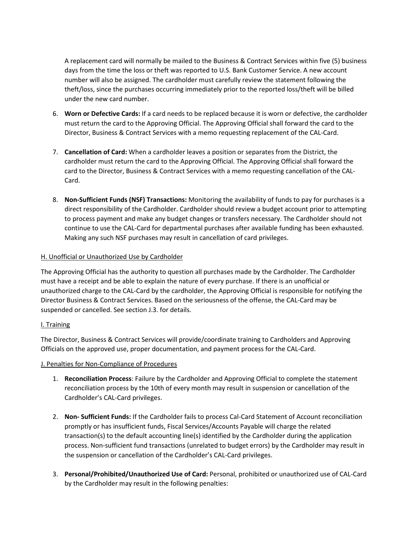A replacement card will normally be mailed to the Business & Contract Services within five (5) business days from the time the loss or theft was reported to U.S. Bank Customer Service. A new account number will also be assigned. The cardholder must carefully review the statement following the theft/loss, since the purchases occurring immediately prior to the reported loss/theft will be billed under the new card number.

- 6. **Worn or Defective Cards:** If a card needs to be replaced because it is worn or defective, the cardholder must return the card to the Approving Official. The Approving Official shall forward the card to the Director, Business & Contract Services with a memo requesting replacement of the CAL-Card.
- 7. **Cancellation of Card:** When a cardholder leaves a position or separates from the District, the cardholder must return the card to the Approving Official. The Approving Official shall forward the card to the Director, Business & Contract Services with a memo requesting cancellation of the CAL-Card.
- 8. **Non-Sufficient Funds (NSF) Transactions:** Monitoring the availability of funds to pay for purchases is a direct responsibility of the Cardholder. Cardholder should review a budget account prior to attempting to process payment and make any budget changes or transfers necessary. The Cardholder should not continue to use the CAL-Card for departmental purchases after available funding has been exhausted. Making any such NSF purchases may result in cancellation of card privileges.

# H. Unofficial or Unauthorized Use by Cardholder

The Approving Official has the authority to question all purchases made by the Cardholder. The Cardholder must have a receipt and be able to explain the nature of every purchase. If there is an unofficial or unauthorized charge to the CAL-Card by the cardholder, the Approving Official is responsible for notifying the Director Business & Contract Services. Based on the seriousness of the offense, the CAL-Card may be suspended or cancelled. See section J.3. for details.

# I. Training

The Director, Business & Contract Services will provide/coordinate training to Cardholders and Approving Officials on the approved use, proper documentation, and payment process for the CAL-Card.

# J. Penalties for Non-Compliance of Procedures

- 1. **Reconciliation Process**: Failure by the Cardholder and Approving Official to complete the statement reconciliation process by the 10th of every month may result in suspension or cancellation of the Cardholder's CAL-Card privileges.
- 2. **Non- Sufficient Funds:** If the Cardholder fails to process Cal-Card Statement of Account reconciliation promptly or has insufficient funds, Fiscal Services/Accounts Payable will charge the related transaction(s) to the default accounting line(s) identified by the Cardholder during the application process. Non-sufficient fund transactions (unrelated to budget errors) by the Cardholder may result in the suspension or cancellation of the Cardholder's CAL-Card privileges.
- 3. **Personal/Prohibited/Unauthorized Use of Card:** Personal, prohibited or unauthorized use of CAL-Card by the Cardholder may result in the following penalties: